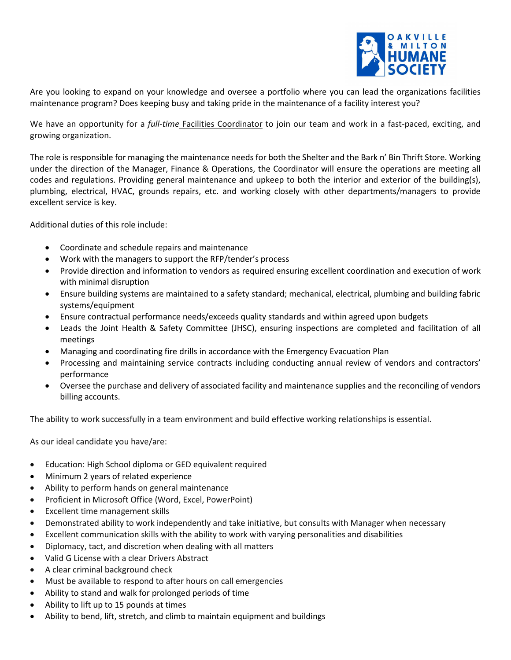

Are you looking to expand on your knowledge and oversee a portfolio where you can lead the organizations facilities maintenance program? Does keeping busy and taking pride in the maintenance of a facility interest you?

We have an opportunity for a *full-time* Facilities Coordinator to join our team and work in a fast-paced, exciting, and growing organization.

The role is responsible for managing the maintenance needs for both the Shelter and the Bark n' Bin Thrift Store. Working under the direction of the Manager, Finance & Operations, the Coordinator will ensure the operations are meeting all codes and regulations. Providing general maintenance and upkeep to both the interior and exterior of the building(s), plumbing, electrical, HVAC, grounds repairs, etc. and working closely with other departments/managers to provide excellent service is key.

Additional duties of this role include:

- Coordinate and schedule repairs and maintenance
- Work with the managers to support the RFP/tender's process
- Provide direction and information to vendors as required ensuring excellent coordination and execution of work with minimal disruption
- Ensure building systems are maintained to a safety standard; mechanical, electrical, plumbing and building fabric systems/equipment
- Ensure contractual performance needs/exceeds quality standards and within agreed upon budgets
- Leads the Joint Health & Safety Committee (JHSC), ensuring inspections are completed and facilitation of all meetings
- Managing and coordinating fire drills in accordance with the Emergency Evacuation Plan
- Processing and maintaining service contracts including conducting annual review of vendors and contractors' performance
- Oversee the purchase and delivery of associated facility and maintenance supplies and the reconciling of vendors billing accounts.

The ability to work successfully in a team environment and build effective working relationships is essential.

As our ideal candidate you have/are:

- Education: High School diploma or GED equivalent required
- Minimum 2 years of related experience
- Ability to perform hands on general maintenance
- Proficient in Microsoft Office (Word, Excel, PowerPoint)
- Excellent time management skills
- Demonstrated ability to work independently and take initiative, but consults with Manager when necessary
- Excellent communication skills with the ability to work with varying personalities and disabilities
- Diplomacy, tact, and discretion when dealing with all matters
- Valid G License with a clear Drivers Abstract
- A clear criminal background check
- Must be available to respond to after hours on call emergencies
- Ability to stand and walk for prolonged periods of time
- Ability to lift up to 15 pounds at times
- Ability to bend, lift, stretch, and climb to maintain equipment and buildings